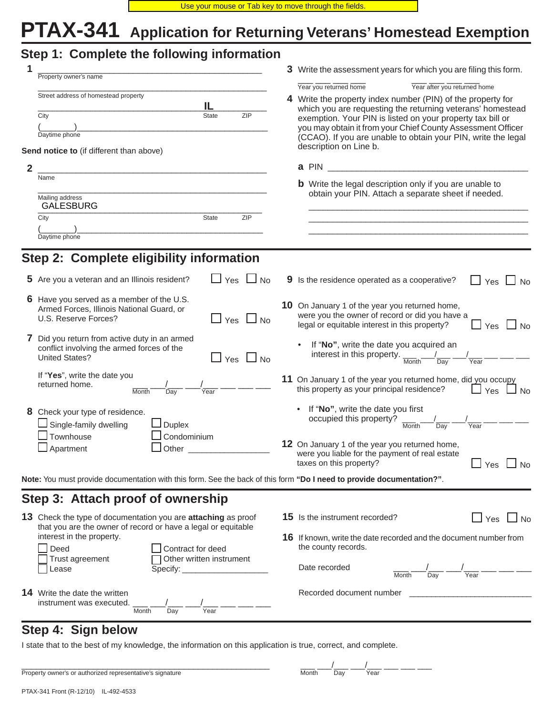# **PTAX-341 Application for Returning Veterans' Homestead Exemption**

|                | Step 1: Complete the following information                                                                                                       |  |                                                                                                                                                                                                                                                   |  |  |
|----------------|--------------------------------------------------------------------------------------------------------------------------------------------------|--|---------------------------------------------------------------------------------------------------------------------------------------------------------------------------------------------------------------------------------------------------|--|--|
|                | Property owner's name                                                                                                                            |  | 3 Write the assessment years for which you are filing this form.                                                                                                                                                                                  |  |  |
|                | Street address of homestead property<br>IL<br><b>ZIP</b><br>City<br><b>State</b>                                                                 |  | Year you returned home<br>Year after you returned home<br>4 Write the property index number (PIN) of the property for<br>which you are requesting the returning veterans' homestead<br>exemption. Your PIN is listed on your property tax bill or |  |  |
|                | Daytime phone                                                                                                                                    |  | you may obtain it from your Chief County Assessment Officer<br>(CCAO). If you are unable to obtain your PIN, write the legal                                                                                                                      |  |  |
|                | Send notice to (if different than above)                                                                                                         |  | description on Line b.                                                                                                                                                                                                                            |  |  |
| $\overline{2}$ |                                                                                                                                                  |  | a PIN                                                                                                                                                                                                                                             |  |  |
|                | Name                                                                                                                                             |  | <b>b</b> Write the legal description only if you are unable to                                                                                                                                                                                    |  |  |
|                | Mailing address<br><b>GALESBURG</b>                                                                                                              |  | obtain your PIN. Attach a separate sheet if needed.                                                                                                                                                                                               |  |  |
|                | ZIP<br>City<br><b>State</b>                                                                                                                      |  |                                                                                                                                                                                                                                                   |  |  |
|                | Daytime phone                                                                                                                                    |  |                                                                                                                                                                                                                                                   |  |  |
|                |                                                                                                                                                  |  |                                                                                                                                                                                                                                                   |  |  |
|                | Step 2: Complete eligibility information                                                                                                         |  |                                                                                                                                                                                                                                                   |  |  |
|                | $\Box$ Yes $\Box$ No<br>5 Are you a veteran and an Illinois resident?                                                                            |  | 9 Is the residence operated as a cooperative?<br>Yes $\Box$<br>No                                                                                                                                                                                 |  |  |
|                | 6 Have you served as a member of the U.S.<br>Armed Forces, Illinois National Guard, or<br>U.S. Reserve Forces?<br>$\Box$ Yes<br>No               |  | 10 On January 1 of the year you returned home,<br>were you the owner of record or did you have a<br>legal or equitable interest in this property?<br>$\Box$ Yes<br>$\Box$ No                                                                      |  |  |
|                | 7 Did you return from active duty in an armed<br>conflict involving the armed forces of the<br><b>United States?</b><br>$\sqcup$ Yes $\sqcup$ No |  | If "No", write the date you acquired an<br>interest in this property.<br>Day<br>Year<br>Month                                                                                                                                                     |  |  |
|                | If "Yes", write the date you<br>returned home.<br>Month<br>$\overline{Day}$<br>Year                                                              |  | 11 On January 1 of the year you returned home, did you occupy<br>this property as your principal residence?<br>Yes $\Box$ No                                                                                                                      |  |  |
|                | 8 Check your type of residence.<br>Single-family dwelling<br>$\Box$ Duplex                                                                       |  | If "No", write the date you first<br>occupied this property?<br>Day<br>Year<br>Month                                                                                                                                                              |  |  |
|                | Townhouse<br>Condominium<br>$\Box$ Apartment<br>Other                                                                                            |  | 12 On January 1 of the year you returned home,<br>were you liable for the payment of real estate<br>taxes on this property?<br>$\sqcup$ Yes $\sqcup$ No                                                                                           |  |  |
|                | Note: You must provide documentation with this form. See the back of this form "Do I need to provide documentation?".                            |  |                                                                                                                                                                                                                                                   |  |  |
|                | Step 3: Attach proof of ownership                                                                                                                |  |                                                                                                                                                                                                                                                   |  |  |
|                | 13 Check the type of documentation you are attaching as proof<br>that you are the owner of record or have a legal or equitable                   |  | $\Box$ Yes $\Box$ No<br><b>15</b> Is the instrument recorded?                                                                                                                                                                                     |  |  |
|                | interest in the property.<br>Deed<br>Contract for deed                                                                                           |  | <b>16</b> If known, write the date recorded and the document number from<br>the county records.                                                                                                                                                   |  |  |
|                | Other written instrument<br>Trust agreement<br>Lease<br>Specify:                                                                                 |  | Date recorded<br>Year<br>Day<br>Month                                                                                                                                                                                                             |  |  |
|                | <b>14</b> Write the date the written<br>instrument was executed.<br>Year<br>Month<br>Day                                                         |  | Recorded document number                                                                                                                                                                                                                          |  |  |

## **Step 4: Sign below**

I state that to the best of my knowledge, the information on this application is true, correct, and complete.

| Property owner's or authorized representative's signature | Month | Dav | Year |
|-----------------------------------------------------------|-------|-----|------|